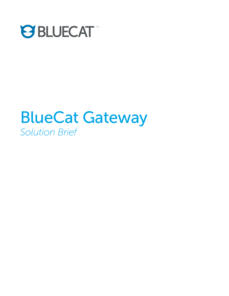

# BlueCat Gateway *Solution Brief*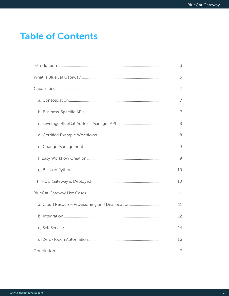# **Table of Contents**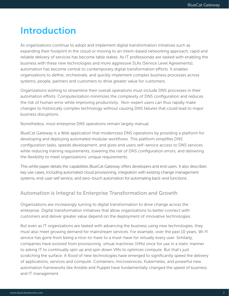# Introduction

As organizations continue to adopt and implement digital transformation initiatives such as expanding their footprint in the cloud or moving to an intent-based networking approach, rapid and reliable delivery of services has become table stakes. As IT professionals are tasked with enabling the business with these new technologies and more aggressive SLAs (Service Level Agreements), automation has become central to contemporary digital transformation efforts. It enables organizations to define, orchestrate, and quickly implement complex business processes across systems, people, partners and customers to drive greater value for customers.

Organizations wishing to streamline their overall operations must include DNS processes in their automation efforts. Computerization minimizes the complexity of DNS configuration and reduces the risk of human error while improving productivity. Non-expert users can thus rapidly make changes to historically complex technology without causing DNS failures that could lead to major business disruptions.

Nonetheless, most enterprise DNS operations remain largely manual.

BlueCat Gateway is a Web application that modernizes DNS operations by providing a platform for developing and deploying automated modular workflows. This platform simplifies DNS configuration tasks, speeds development, and gives end users self-service access to DNS services while reducing training requirements, lowering the risk of DNS configuration errors, and delivering the flexibility to meet organizations' unique requirements.

This white paper details the capabilities BlueCat Gateway offers developers and end users. It also describes key use cases, including automated cloud provisioning, integration with existing change management systems, end-user self service, and zero-touch automation for automating back-end functions.

### Automation is Integral to Enterprise Transformation and Growth

Organizations are increasingly turning to digital transformation to drive change across the enterprise. Digital transformation initiatives that allow organizations to better connect with customers and deliver greater value depend on the deployment of innovative technologies.

But even as IT organizations are tasked with advancing the business using new technologies, they must also meet growing demand for mainstream services. For example, over the past 10 years, Wi-Fi service has gone from being a nice-to-have to a must-have for virtually every user. Similarly, companies have evolved from provisioning virtual machines (VMs) once for use in a static manner to asking IT to continually spin up and spin down VMs to optimize compute. But that's just scratching the surface. A flood of new technologies have emerged to significantly speed the delivery of applications, services and compute. Containers, microservices, Kubernetes, and powerful new automation frameworks like Ansible and Puppet have fundamentally changed the speed of business and IT management.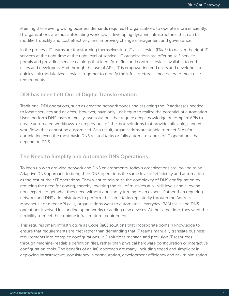Meeting these ever growing business demands requires IT organizations to operate more efficiently. IT organizations are thus automating workflows, developing dynamic infrastructures that can be modified quickly and cost effectively, and improving change management and governance.

In the process, IT teams are transforming themselves into IT as a service (ITaaS) to deliver the right IT services at the right time at the right level of service. IT organizations are offering self-service portals and providing service catalogs that identify, define and control services available to endusers and developers. And through the use of APIs, IT is empowering end users and developers to quickly link modularized services together to modify the infrastructure as necessary to meet user requirements.

#### DDI has been Left Out of Digital Transformation

Traditional DDI operations, such as creating network zones and assigning the IP addresses needed to locate services and devices, however, have only just begun to realize the potential of automation. Users perform DNS tasks manually, use solutions that require deep knowledge of complex APIs to create automated workflows, or employ out-of-the-box solutions that provide inflexible, canned workflows that cannot be customized. As a result, organizations are unable to meet SLAs for completing even the most basic DNS related tasks or fully automate scores of IT operations that depend on DNS.

#### The Need to Simplify and Automate DNS Operations

To keep up with growing network and DNS environments, today's organizations are looking to an Adaptive DNS approach to bring their DNS operations the same level of efficiency and automation as the rest of their IT operations. They want to minimize the complexity of DNS configuration by reducing the need for coding, thereby lowering the risk of mistakes at all skill levels and allowing non-experts to get what they need without constantly turning to an expert. Rather than requiring network and DNS administrators to perform the same tasks repeatedly through the Address Manager UI or direct API calls, organizations want to automate all everyday IPAM tasks and DNS operations involved in standing up networks or adding new devices. At the same time, they want the flexibility to meet their unique infrastructure requirements.

This requires smart Infrastructure as Code (IaC) solutions that incorporate domain knowledge to ensure that requirements are met rather than demanding that IT teams manually translate business requirements into complex configurations. IaC solutions manage and provision IT resources through machine-readable definition files, rather than physical hardware configuration or interactive configuration tools. The benefits of an IaC approach are many, including speed and simplicity in deploying infrastructure, consistency in configuration, development efficiency and risk minimization.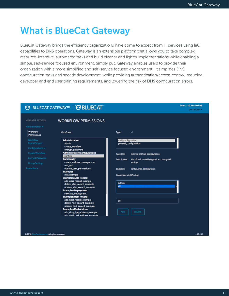BAM @ 10.244.107.88

portalUser -

# What is BlueCat Gateway

BlueCat Gateway brings the efficiency organizations have come to expect from IT services using IaC capabilities to DNS operations. Gateway is an extensible platform that allows you to take complex, resource-intensive, automated tasks and build cleaner and lighter implementations while enabling a simple, self-service focused environment. Simply put, Gateway enables users to provide their organization with a more simplified and self-service focused environment. It simplifies DNS configuration tasks and speeds development, while providing authentication/access control, reducing developer and end user training requirements, and lowering the risk of DNS configuration errors.

### **19 BLUECAT GATEWAY™ | 19 BLUECAT**

**WORKFLOW PERMISSIONS** 

#### *NVAILABLE ACTIONS*

| Vorkflow<br>ermissions          | <b>Workflows:</b>                                                                               | Type:                 | ul                                      |
|---------------------------------|-------------------------------------------------------------------------------------------------|-----------------------|-----------------------------------------|
| <b>Vorkflow</b>                 | <b>Administration</b>                                                                           | mail_configuration    |                                         |
| xport/Import<br>onfigurations = | admin<br>create_workflow<br>encrypt_password                                                    |                       | general_configuration                   |
| reate Workflow                  | <b>Administration/Configurations</b><br>configs                                                 | Page title:           | <b>External DB/Mail Configuration</b>   |
| ncrypt Password                 | <b>Community</b>                                                                                | <b>Description:</b>   | Workflow for modifying mail and mongoDB |
| <b>Iroup Settings</b>           | create_address_manager_user<br>rest_api                                                         |                       | settings.                               |
| mples $\sim$                    | update_user_permissions<br><b>Examples</b>                                                      | <b>Endpoint:</b>      | configs/mail_configuration              |
|                                 | rest_example<br><b>Examples/Alias Record</b>                                                    | Group Name/UDF value: |                                         |
|                                 | add_alias_record_example<br>delete_alias_record_example<br>update_alias_record_example          | admin<br>all          |                                         |
|                                 | <b>Examples/Deployment</b><br>selective_deployment                                              |                       |                                         |
|                                 | <b>Examples/Host Record</b><br>add_host_record_example                                          | all                   |                                         |
|                                 | delete_host_record_example<br>update_host_record_example                                        |                       |                                         |
|                                 | <b>Examples/IPv4 Address</b><br>add_dhcp_ip4_address_example<br>add static ind address example. | <b>ADD</b>            | DELETE                                  |

All rights res

 $v18.10.3$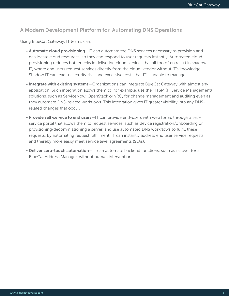### A Modern Development Platform for Automating DNS Operations

Using BlueCat Gateway, IT teams can:

- Automate cloud provisioning—IT can automate the DNS services necessary to provision and deallocate cloud resources, so they can respond to user requests instantly. Automated cloud provisioning reduces bottlenecks in delivering cloud services that all too often result in shadow IT, where end users request services directly from the cloud vendor without IT's knowledge. Shadow IT can lead to security risks and excessive costs that IT is unable to manage.
- Integrate with existing systems-Organizations can integrate BlueCat Gateway with almost any application. Such integration allows them to, for example, use their ITSM (IT Service Management) solutions, such as ServiceNow, OpenStack or vRO, for change management and auditing even as they automate DNS-related workflows. This integration gives IT greater visibility into any DNSrelated changes that occur.
- Provide self-service to end users—IT can provide end-users with web forms through a selfservice portal that allows them to request services, such as device registration/onboarding or provisioning/decommissioning a server, and use automated DNS workflows to fulfill these requests. By automating request fulfillment, IT can instantly address end user service requests and thereby more easily meet service level agreements (SLAs).
- Deliver zero-touch automation—IT can automate backend functions, such as failover for a BlueCat Address Manager, without human intervention.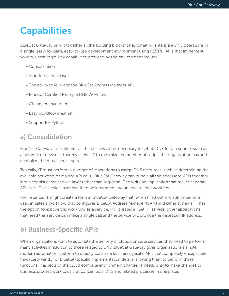# **Capabilities**

BlueCat Gateway brings together all the building blocks for automating enterprise DNS operations in a single, easy-to-learn, easy-to-use development environment using RESTful APIs that implement your business logic. Key capabilities provided by this environment include:

- Consolidation
- A business logic layer
- The ability to leverage the BlueCat Address Manager API
- BlueCat Certified Example DNS Workflows
- Change management
- Easy workflow creation
- Support for Python

## a) Consolidation

BlueCat Gateway consolidates all the business logic necessary to set up DNS for a resource, such as a network or device. It thereby allows IT to minimize the number of scripts the organization has and centralize the remaining scripts.

Typically, IT must perform a number of operations to assign DNS resources, such as determining the available networks or making API calls. BlueCat Gateway can bundle all the necessary APIs together into a sophisticated service layer rather than requiring IT to write an application that makes separate API calls. This service layer can then be integrated into an end-to-end workflow.

For instance, IT might create a form in BlueCat Gateway that, when filled out and submitted to a user, initiates a workflow that configures BlueCat Address Manager (BAM) and other systems. IT has the option to expose this workflow as a service. If IT creates a "Get IP" service, other applications that need this service can make a single call and the service will provide the necessary IP address.

# b) Business-Specific APIs

When organizations want to automate the delivery of cloud compute services, they need to perform many activities in addition to those related to DNS. BlueCat Gateway gives organizations a single modern automation platform to directly consume business-specific APIs that completely encapsulate third-party vendor or BlueCat-specific implementation details, allowing them to perform these functions. If aspects of the cloud compute environment change, IT needs only to make changes to business process workflows that contain both DNS and related processes in one place.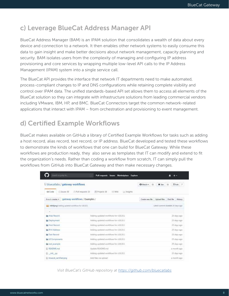# c) Leverage BlueCat Address Manager API

BlueCat Address Manager (BAM) is an IPAM solution that consolidates a wealth of data about every device and connection to a network. It then enables other network systems to easily consume this data to gain insight and make better decisions about network management, capacity planning and security. BAM isolates users from the complexity of managing and configuring IP address provisioning and core services by wrapping multiple low-level API calls to the IP Address Management (IPAM) system into a single service call.

The BlueCat API provides the interface that network IT departments need to make automated, process-compliant changes to IP and DNS configurations while retaining complete visibility and control over IPAM data. The unified standards-based API set allows them to access all elements of the BlueCat solution so they can integrate with infrastructure solutions from leading commercial vendors including VMware, IBM, HP, and BMC. BlueCat Connectors target the common network-related applications that interact with IPAM – from orchestration and provisioning to event management.

# d) Certified Example Workflows

BlueCat makes available on GitHub a library of Certified Example Workflows for tasks such as adding a host record, alias record, text record, or IP address. BlueCat developed and tested these workflows to demonstrate the kinds of workflows that one can build for BlueCat Gateway. While these workflows are production ready, they also serve as templates that IT can modify and extend to fit the organization's needs. Rather than coding a workflow from scratch, IT can simply pull the workflows from GitHub into BlueCat Gateway and then make necessary changes.

| Search or jump to                                     | <b>Pull requests</b><br>Marketplace<br>Explore<br><b>Issues</b>      |                                                   |  |  |
|-------------------------------------------------------|----------------------------------------------------------------------|---------------------------------------------------|--|--|
| U bluecatlabs / gateway workflows                     |                                                                      | O Watch +<br>Y Fork 7<br>* Star 11<br>11          |  |  |
| <b>O</b> Code<br>(D.Issues D.)                        | If Projects 0<br>n Pull requests 3<br>lili Insights<br><b>IN WRI</b> |                                                   |  |  |
| Branch: master v                                      | gateway-workflows / Examples /                                       | Create new file<br>Upload files Find file History |  |  |
| Lad mithiliangi Adding updated workflows for k18.18.1 |                                                                      | Latest commit KSe6684.25 days ago                 |  |  |
| $\rightarrow$                                         |                                                                      |                                                   |  |  |
| <b>B</b> Alias Record                                 | Adding updated workflows for v18.10.1                                | 25 days ago                                       |  |  |
| <b>Bu</b> Deployment                                  | Adding updated workflows for v18.10.1                                | 25 days ago                                       |  |  |
| <b>III</b> Host Record                                | Adding updated workflows for v18.10.1                                | 25 days ago                                       |  |  |
| <b>III</b> IPu4 Address                               | Adding updated workflows for v18.10.1                                | 25 days ago.                                      |  |  |
| <b>Excel Record</b>                                   | Adding updated workflows for v18.10.1                                | 25 days ago                                       |  |  |
| UI Components                                         | Adding updated workflows for v18:10.1                                | 25 days ago                                       |  |  |
| <b>Bu</b> rest, example                               | Adding updated workflows for v18.10.1                                | 25 days ago                                       |  |  |
| 国 README.md                                           | Update README.md                                                     | a month ago                                       |  |  |
| El init_py                                            | Adding updated worldfows for v18.10.1                                | 25 days ago                                       |  |  |
| in bluecat certified prig-                            | Add files yia upload                                                 | a month-ago                                       |  |  |

*Visit BlueCat's GitHub repository at<https://github.com/bluecatlabs>*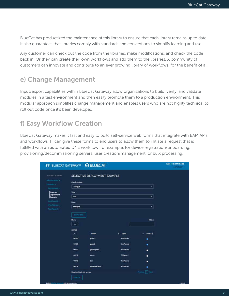BlueCat has productized the maintenance of this library to ensure that each library remains up to date. It also guarantees that libraries comply with standards and conventions to simplify learning and use.

Any customer can check out the code from the libraries, make modifications, and check the code back in. Or they can create their own workflows and add them to the libraries. A community of customers can innovate and contribute to an ever growing library of workflows, for the benefit of all.

# e) Change Management

Input/export capabilities within BlueCat Gateway allow organizations to build, verify, and validate modules in a test environment and then easily promote them to a production environment. This modular approach simplifies change management and enables users who are not highly technical to roll out code once it's been developed.

# f) Easy Workflow Creation

BlueCat Gateway makes it fast and easy to build self-service web forms that integrate with BAM APIs and workflows. IT can give these forms to end users to allow them to initiate a request that is fulfilled with an automated DNS workflow, for example, for device registration/onboarding, provisioning/decommissioning servers, user creation/management, or bulk processing.

| <b>NWILABLE ACTIONS</b>        |                                        | SELECTIVE DEPLOYMENT EXAMPLE |                    |                                  |  |
|--------------------------------|----------------------------------------|------------------------------|--------------------|----------------------------------|--|
| Administration +               | Configuration                          |                              |                    |                                  |  |
| Esamples +<br>Deprogramment =  | config-1                               |                              |                    | ۰                                |  |
| <b>Selective</b>               | View                                   |                              |                    |                                  |  |
| <b>Deployment</b><br>Example   | com                                    |                              |                    | ٠                                |  |
| <b>Host Record #</b>           | Zone                                   |                              |                    |                                  |  |
| Pe4 Address =<br>Text Health + | example                                |                              |                    | ٠                                |  |
|                                | <b>Show</b><br>10<br>٠<br>entries<br>M | ٠<br><b>Name</b>             | ٠<br>Type          | <b>Filter:</b><br>٠<br>Select \$ |  |
|                                | 100903                                 | guest1                       | <b>Hostflexone</b> | ٠                                |  |
|                                | 100905                                 | $x = 2$                      | <b>Hos:Record</b>  | ٠                                |  |
|                                | 100907                                 | gatewaytest                  | <b>HostRecord</b>  | ٠                                |  |
|                                | 100910                                 | demo                         | <b>TXTRecord</b>   | ٠                                |  |
|                                | 100912                                 | test                         | <b>HostRecord</b>  |                                  |  |
|                                |                                        | webinaredemo                 | <b>HouRecord</b>   |                                  |  |
|                                |                                        |                              |                    |                                  |  |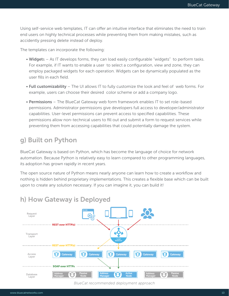Using self-service web templates, IT can offer an intuitive interface that eliminates the need to train end users on highly technical processes while preventing them from making mistakes, such as accidently pressing delete instead of deploy.

The templates can incorporate the following:

- Widgets As IT develops forms, they can load easily configurable "widgets" to perform tasks. For example, if IT wants to enable a user to select a configuration, view and zone, they can employ packaged widgets for each operation. Widgets can be dynamically populated as the user fills in each field.
- Full customizability The UI allows IT to fully customize the look and feel of web forms. For example, users can choose their desired color scheme or add a company logo.
- Permissions The BlueCat Gateway web form framework enables IT to set role-based permissions. Administrator permissions give developers full access to developer/administrator capabilities. User-level permissions can prevent access to specified capabilities. These permissions allow non-technical users to fill out and submit a form to request services while preventing them from accessing capabilities that could potentially damage the system.

# g) Built on Python

BlueCat Gateway is based on Python, which has become the language of choice for network automation. Because Python is relatively easy to learn compared to other programming languages, its adoption has grown rapidly in recent years.

The open source nature of Python means nearly anyone can learn how to create a workflow and nothing is hidden behind proprietary implementations. This creates a flexible base which can be built upon to create any solution necessary. If you can imagine it, you can build it!



### h) How Gateway is Deployed

*BlueCat recommended deployment approach*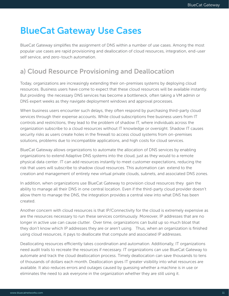# BlueCat Gateway Use Cases

BlueCat Gateway simplifies the assignment of DNS within a number of use cases. Among the most popular use cases are rapid provisioning and deallocation of cloud resources, integration, end-user self service, and zero-touch automation.

# a) Cloud Resource Provisioning and Deallocation

Today, organizations are increasingly extending their on-premises systems by deploying cloud resources. Business users have come to expect that these cloud resources will be available instantly. But providing the necessary DNS services has become a bottleneck, often taking a VM admin or DNS expert weeks as they navigate deployment windows and approval processes.

When business users encounter such delays, they often respond by purchasing third-party cloud services through their expense accounts. While cloud subscriptions free business users from IT controls and restrictions, they lead to the problem of shadow IT, where individuals across the organization subscribe to a cloud resources without IT knowledge or oversight. Shadow IT causes security risks as users create holes in the firewall to access cloud systems from on-premises solutions, problems due to incompatible applications, and high costs for cloud services.

BlueCat Gateway allows organizations to automate the allocation of DNS services by enabling organizations to extend Adaptive DNS systems into the cloud, just as they would to a remote physical data center. IT can add resources instantly to meet customer expectations, reducing the risk that users will subscribe to shadow cloud resources. This automation can extend to the creation and management of entirely new virtual private clouds, subnets, and associated DNS zones.

In addition, when organizations use BlueCat Gateway to provision cloud resources they gain the ability to manage all their DNS in one central location. Even if the third-party cloud provider doesn't allow them to manage the DNS, the integration provides a central view into what DNS has been created.

Another concern with cloud resources is that IP/Connectivity for the cloud is extremely expensive as are the resources necessary to run these services continuously. Moreover, IP addresses that are no longer in active use can cause clutter. Over time, organizations can build up so much bloat that they don't know which IP addresses they are or aren't using. Thus, when an organization is finished using cloud resources, it pays to deallocate that compute and associated IP addresses.

Deallocating resources efficiently takes coordination and automation. Additionally, IT organizations need audit trails to recreate the resources if necessary. IT organizations can use BlueCat Gateway to automate and track the cloud deallocation process. Timely deallocation can save thousands to tens of thousands of dollars each month. Deallocation gives IT greater visibility into what resources are available. It also reduces errors and outages caused by guessing whether a machine is in use or eliminates the need to ask everyone in the organization whether they are still using it.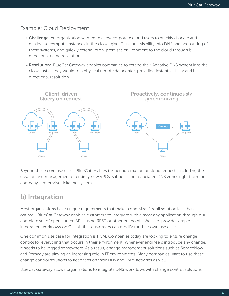#### Example: Cloud Deployment

- Challenge: An organization wanted to allow corporate cloud users to quickly allocate and deallocate compute instances in the cloud, give IT instant visibility into DNS and accounting of these systems, and quickly extend its on-premises environment to the cloud through bidirectional name resolution.
- Resolution: BlueCat Gateway enables companies to extend their Adaptive DNS system into the cloud just as they would to a physical remote datacenter, providing instant visibility and bidirectional resolution.



Beyond these core use cases, BlueCat enables further automation of cloud requests, including the creation and management of entirely new VPCs, subnets, and associated DNS zones right from the company's enterprise ticketing system.

### b) Integration

Most organizations have unique requirements that make a one-size-fits-all solution less than optimal. BlueCat Gateway enables customers to integrate with almost any application through our complete set of open source APIs, using REST or other endpoints. We also provide sample integration workflows on GitHub that customers can modify for their own use case.

One common use case for integration is ITSM. Companies today are looking to ensure change control for everything that occurs in their environment. Whenever engineers introduce any change, it needs to be logged somewhere. As a result, change management solutions such as ServiceNow and Remedy are playing an increasing role in IT environments. Many companies want to use these change control solutions to keep tabs on their DNS and IPAM activities as well.

BlueCat Gateway allows organizations to integrate DNS workflows with change control solutions.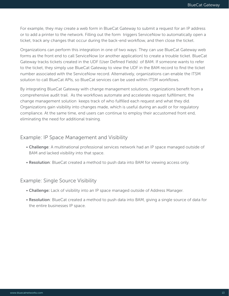For example, they may create a web form in BlueCat Gateway to submit a request for an IP address or to add a printer to the network. Filling out the form triggers ServiceNow to automatically open a ticket, track any changes that occur during the back-end workflow, and then close the ticket.

Organizations can perform this integration in one of two ways: They can use BlueCat Gateway web forms as the front end to call ServiceNow (or another application) to create a trouble ticket. BlueCat Gateway tracks tickets created in the UDF (User Defined Fields) of BAM. If someone wants to refer to the ticket, they simply use BlueCat Gateway to view the UDF in the BAM record to find the ticket number associated with the ServiceNow record. Alternatively, organizations can enable the ITSM solution to call BlueCat APIs, so BlueCat services can be used within ITSM workflows.

By integrating BlueCat Gateway with change management solutions, organizations benefit from a comprehensive audit trail. As the workflows automate and accelerate request fulfillment, the change management solution keeps track of who fulfilled each request and what they did. Organizations gain visibility into changes made, which is useful during an audit or for regulatory compliance. At the same time, end users can continue to employ their accustomed front end, eliminating the need for additional training.

#### Example: IP Space Management and Visibility

- Challenge: A multinational professional services network had an IP space managed outside of BAM and lacked visibility into that space.
- Resolution: BlueCat created a method to push data into BAM for viewing access only.

#### Example: Single Source Visibility

- Challenge: Lack of visibility into an IP space managed outside of Address Manager.
- Resolution: BlueCat created a method to push data into BAM, giving a single source of data for the entire businesses IP space.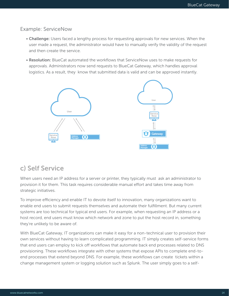#### Example: ServiceNow

- Challenge: Users faced a lengthy process for requesting approvals for new services. When the user made a request, the administrator would have to manually verify the validity of the request and then create the service.
- Resolution: BlueCat automated the workflows that ServiceNow uses to make requests for approvals. Administrators now send requests to BlueCat Gateway, which handles approval logistics. As a result, they know that submitted data is valid and can be approved instantly.



### c) Self Service

When users need an IP address for a server or printer, they typically must ask an administrator to provision it for them. This task requires considerable manual effort and takes time away from strategic initiatives.

To improve efficiency and enable IT to devote itself to innovation, many organizations want to enable end users to submit requests themselves and automate their fulfillment. But many current systems are too technical for typical end users. For example, when requesting an IP address or a host record, end users must know which network and zone to put the host record in, something they're unlikely to be aware of.

With BlueCat Gateway, IT organizations can make it easy for a non-technical user to provision their own services without having to learn complicated programming. IT simply creates self-service forms that end users can employ to kick off workflows that automate back end processes related to DNS provisioning. These workflows integrate with other systems that expose APIs to complete end-toend processes that extend beyond DNS. For example, these workflows can create tickets within a change management system or logging solution such as Splunk. The user simply goes to a self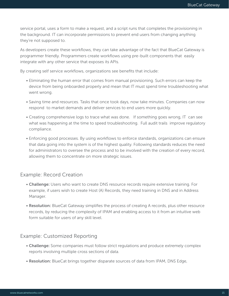service portal, uses a form to make a request, and a script runs that completes the provisioning in the background. IT can incorporate permissions to prevent end users from changing anything they're not supposed to.

As developers create these workflows, they can take advantage of the fact that BlueCat Gateway is programmer friendly. Programmers create workflows using pre-built components that easily integrate with any other service that exposes its APIs.

By creating self service workflows, organizations see benefits that include:

- Eliminating the human error that comes from manual provisioning. Such errors can keep the device from being onboarded properly and mean that IT must spend time troubleshooting what went wrong.
- Saving time and resources. Tasks that once took days, now take minutes. Companies can now respond to market demands and deliver services to end users more quickly.
- Creating comprehensive logs to trace what was done. If something goes wrong, IT can see what was happening at the time to speed troubleshooting. Full audit trails improve regulatory compliance.
- Enforcing good processes. By using workflows to enforce standards, organizations can ensure that data going into the system is of the highest quality. Following standards reduces the need for administrators to oversee the process and to be involved with the creation of every record, allowing them to concentrate on more strategic issues.

#### Example: Record Creation

- Challenge: Users who want to create DNS resource records require extensive training. For example, if users wish to create Host (A) Records, they need training in DNS and in Address Manager.
- Resolution: BlueCat Gateway simplifies the process of creating A records, plus other resource records, by reducing the complexity of IPAM and enabling access to it from an intuitive web form suitable for users of any skill level.

#### Example: Customized Reporting

- Challenge: Some companies must follow strict regulations and produce extremely complex reports involving multiple cross sections of data.
- Resolution: BlueCat brings together disparate sources of data from IPAM, DNS Edge,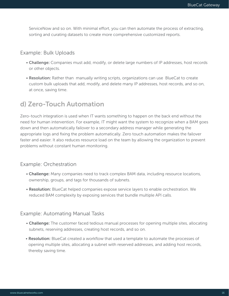ServiceNow and so on. With minimal effort, you can then automate the process of extracting, sorting and curating datasets to create more comprehensive customized reports.

#### Example: Bulk Uploads

- Challenge: Companies must add, modify, or delete large numbers of IP addresses, host records or other objects.
- Resolution: Rather than manually writing scripts, organizations can use BlueCat to create custom bulk uploads that add, modify, and delete many IP addresses, host records, and so on, at once, saving time.

### d) Zero-Touch Automation

Zero-touch integration is used when IT wants something to happen on the back end without the need for human intervention. For example, IT might want the system to recognize when a BAM goes down and then automatically failover to a secondary address manager while generating the appropriate logs and fixing the problem automatically. Zero touch automation makes the failover faster and easier. It also reduces resource load on the team by allowing the organization to prevent problems without constant human monitoring.

#### Example: Orchestration

- Challenge: Many companies need to track complex BAM data, including resource locations, ownership, groups, and tags for thousands of subnets.
- Resolution: BlueCat helped companies expose service layers to enable orchestration. We reduced BAM complexity by exposing services that bundle multiple API calls.

#### Example: Automating Manual Tasks

- Challenge: The customer faced tedious manual processes for opening multiple sites, allocating subnets, reserving addresses, creating host records, and so on.
- Resolution: BlueCat created a workflow that used a template to automate the processes of opening multiple sites, allocating a subnet with reserved addresses, and adding host records, thereby saving time.